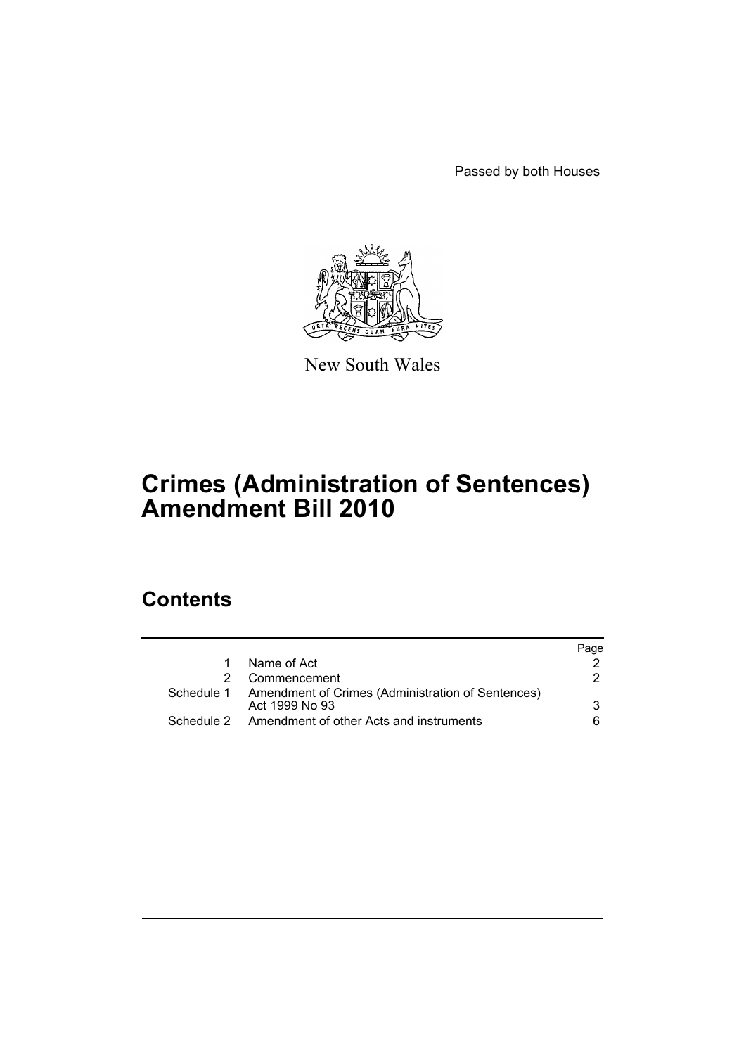Passed by both Houses



New South Wales

# **Crimes (Administration of Sentences) Amendment Bill 2010**

# **Contents**

|                                                                                | Page |
|--------------------------------------------------------------------------------|------|
| Name of Act                                                                    |      |
| Commencement                                                                   | 2    |
| Schedule 1 Amendment of Crimes (Administration of Sentences)<br>Act 1999 No 93 | 3    |
| Amendment of other Acts and instruments                                        | 6    |
|                                                                                |      |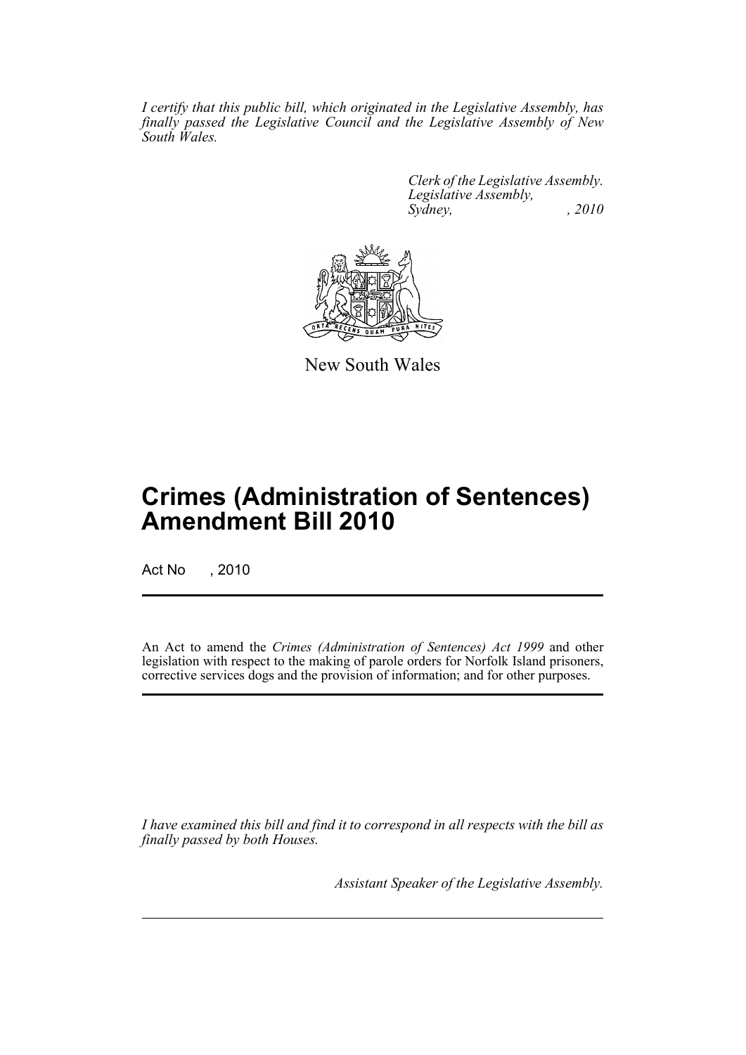*I certify that this public bill, which originated in the Legislative Assembly, has finally passed the Legislative Council and the Legislative Assembly of New South Wales.*

> *Clerk of the Legislative Assembly. Legislative Assembly, Sydney, , 2010*



New South Wales

# **Crimes (Administration of Sentences) Amendment Bill 2010**

Act No , 2010

An Act to amend the *Crimes (Administration of Sentences) Act 1999* and other legislation with respect to the making of parole orders for Norfolk Island prisoners, corrective services dogs and the provision of information; and for other purposes.

*I have examined this bill and find it to correspond in all respects with the bill as finally passed by both Houses.*

*Assistant Speaker of the Legislative Assembly.*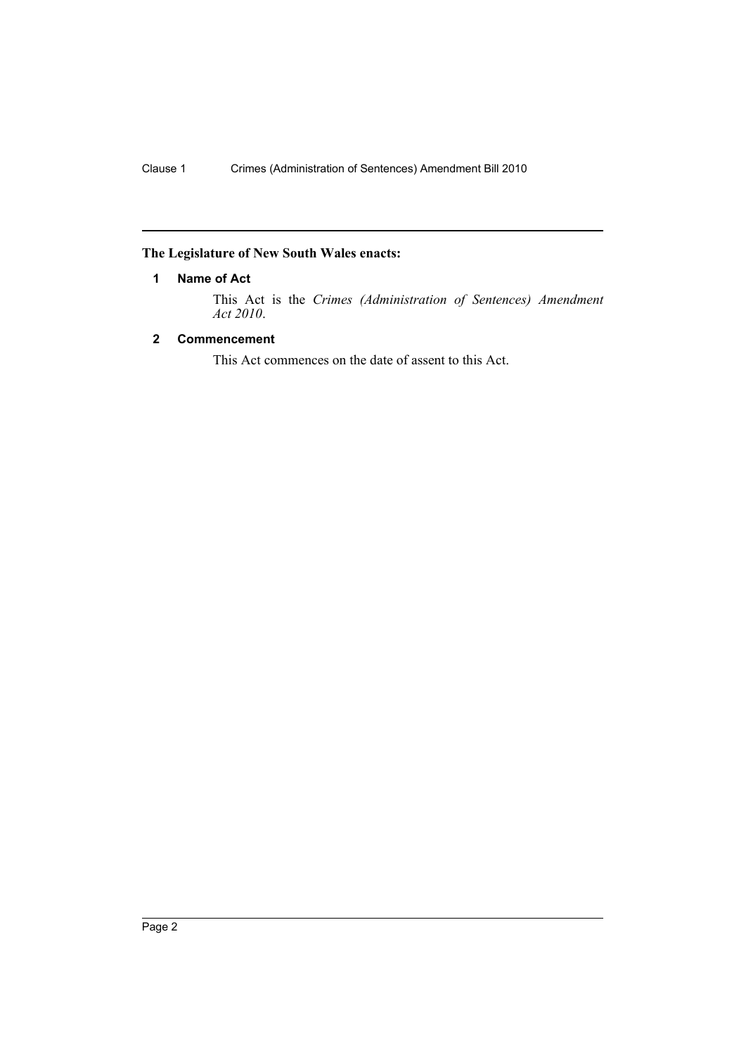## <span id="page-2-0"></span>**The Legislature of New South Wales enacts:**

## **1 Name of Act**

This Act is the *Crimes (Administration of Sentences) Amendment Act 2010*.

## <span id="page-2-1"></span>**2 Commencement**

This Act commences on the date of assent to this Act.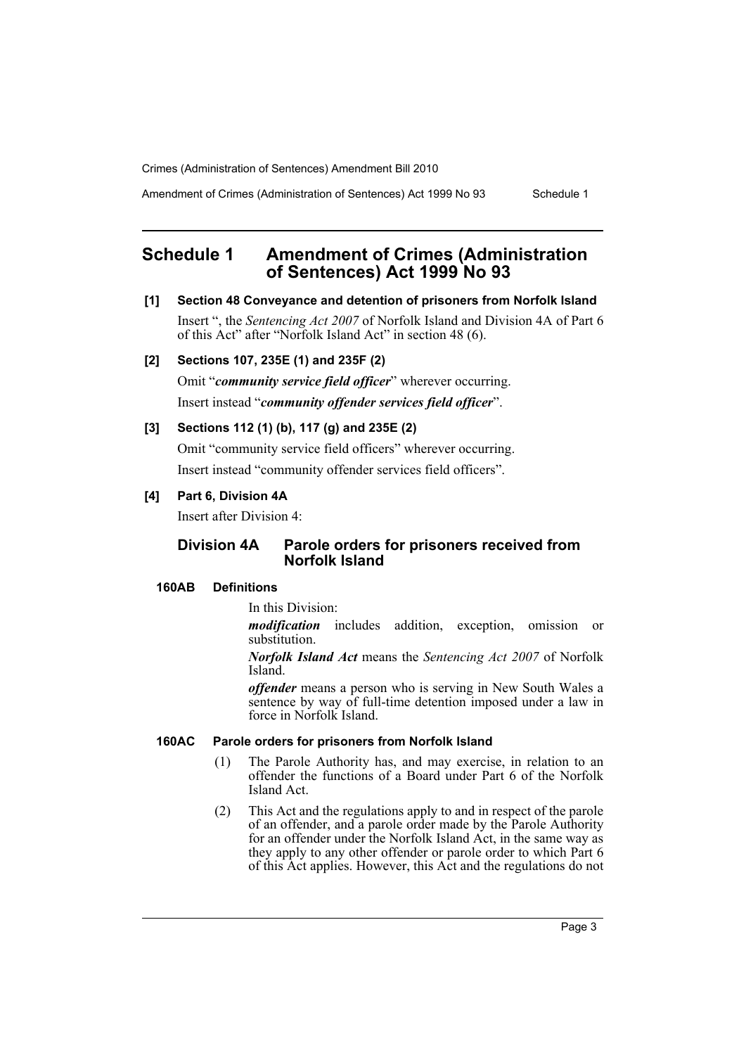Amendment of Crimes (Administration of Sentences) Act 1999 No 93 Schedule 1

## <span id="page-3-0"></span>**Schedule 1 Amendment of Crimes (Administration of Sentences) Act 1999 No 93**

## **[1] Section 48 Conveyance and detention of prisoners from Norfolk Island**

Insert ", the *Sentencing Act 2007* of Norfolk Island and Division 4A of Part 6 of this Act" after "Norfolk Island Act" in section 48 (6).

## **[2] Sections 107, 235E (1) and 235F (2)**

Omit "*community service field officer*" wherever occurring. Insert instead "*community offender services field officer*".

### **[3] Sections 112 (1) (b), 117 (g) and 235E (2)**

Omit "community service field officers" wherever occurring. Insert instead "community offender services field officers".

## **[4] Part 6, Division 4A**

Insert after Division 4:

## **Division 4A Parole orders for prisoners received from Norfolk Island**

### **160AB Definitions**

In this Division:

*modification* includes addition, exception, omission or substitution.

*Norfolk Island Act* means the *Sentencing Act 2007* of Norfolk Island.

*offender* means a person who is serving in New South Wales a sentence by way of full-time detention imposed under a law in force in Norfolk Island.

### **160AC Parole orders for prisoners from Norfolk Island**

- (1) The Parole Authority has, and may exercise, in relation to an offender the functions of a Board under Part 6 of the Norfolk Island Act.
- (2) This Act and the regulations apply to and in respect of the parole of an offender, and a parole order made by the Parole Authority for an offender under the Norfolk Island Act, in the same way as they apply to any other offender or parole order to which Part 6 of this Act applies. However, this Act and the regulations do not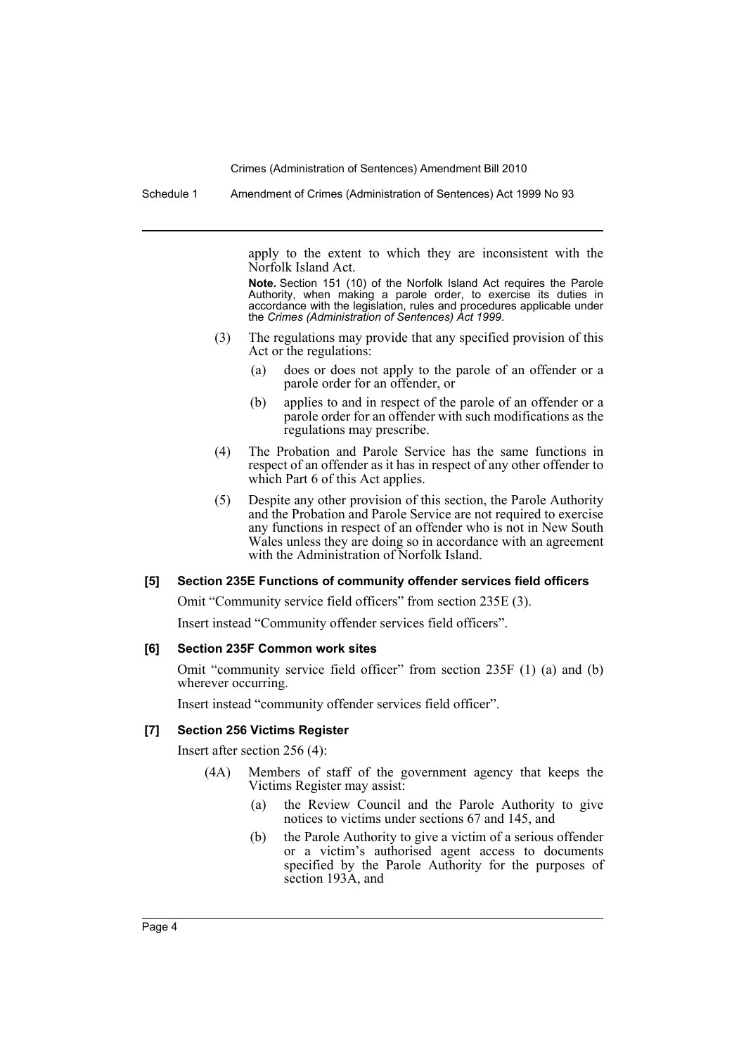Schedule 1 Amendment of Crimes (Administration of Sentences) Act 1999 No 93

apply to the extent to which they are inconsistent with the Norfolk Island Act.

**Note.** Section 151 (10) of the Norfolk Island Act requires the Parole Authority, when making a parole order, to exercise its duties in accordance with the legislation, rules and procedures applicable under the *Crimes (Administration of Sentences) Act 1999*.

- (3) The regulations may provide that any specified provision of this Act or the regulations:
	- (a) does or does not apply to the parole of an offender or a parole order for an offender, or
	- (b) applies to and in respect of the parole of an offender or a parole order for an offender with such modifications as the regulations may prescribe.
- (4) The Probation and Parole Service has the same functions in respect of an offender as it has in respect of any other offender to which Part 6 of this Act applies.
- (5) Despite any other provision of this section, the Parole Authority and the Probation and Parole Service are not required to exercise any functions in respect of an offender who is not in New South Wales unless they are doing so in accordance with an agreement with the Administration of Norfolk Island.

### **[5] Section 235E Functions of community offender services field officers**

Omit "Community service field officers" from section 235E (3).

Insert instead "Community offender services field officers".

#### **[6] Section 235F Common work sites**

Omit "community service field officer" from section 235F (1) (a) and (b) wherever occurring.

Insert instead "community offender services field officer".

#### **[7] Section 256 Victims Register**

Insert after section 256 (4):

- (4A) Members of staff of the government agency that keeps the Victims Register may assist:
	- (a) the Review Council and the Parole Authority to give notices to victims under sections 67 and 145, and
	- (b) the Parole Authority to give a victim of a serious offender or a victim's authorised agent access to documents specified by the Parole Authority for the purposes of section 193A, and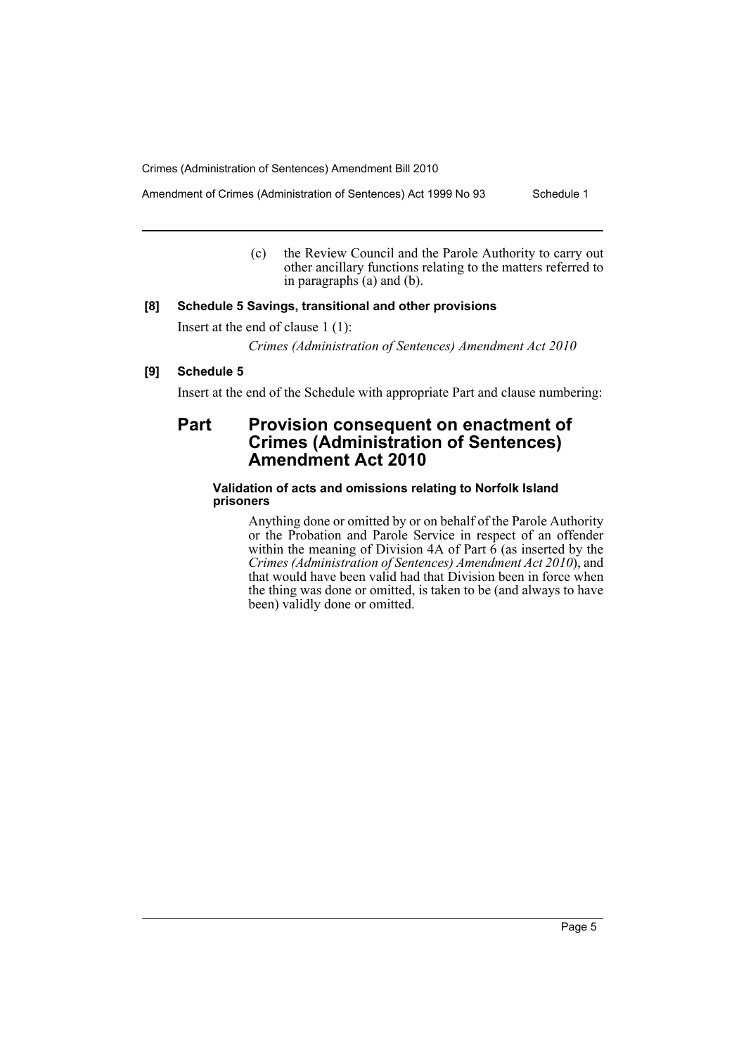Amendment of Crimes (Administration of Sentences) Act 1999 No 93 Schedule 1

(c) the Review Council and the Parole Authority to carry out other ancillary functions relating to the matters referred to in paragraphs (a) and (b).

## **[8] Schedule 5 Savings, transitional and other provisions**

Insert at the end of clause 1 (1):

*Crimes (Administration of Sentences) Amendment Act 2010*

## **[9] Schedule 5**

Insert at the end of the Schedule with appropriate Part and clause numbering:

## **Part Provision consequent on enactment of Crimes (Administration of Sentences) Amendment Act 2010**

## **Validation of acts and omissions relating to Norfolk Island prisoners**

Anything done or omitted by or on behalf of the Parole Authority or the Probation and Parole Service in respect of an offender within the meaning of Division 4A of Part  $\hat{6}$  (as inserted by the *Crimes (Administration of Sentences) Amendment Act 2010*), and that would have been valid had that Division been in force when the thing was done or omitted, is taken to be (and always to have been) validly done or omitted.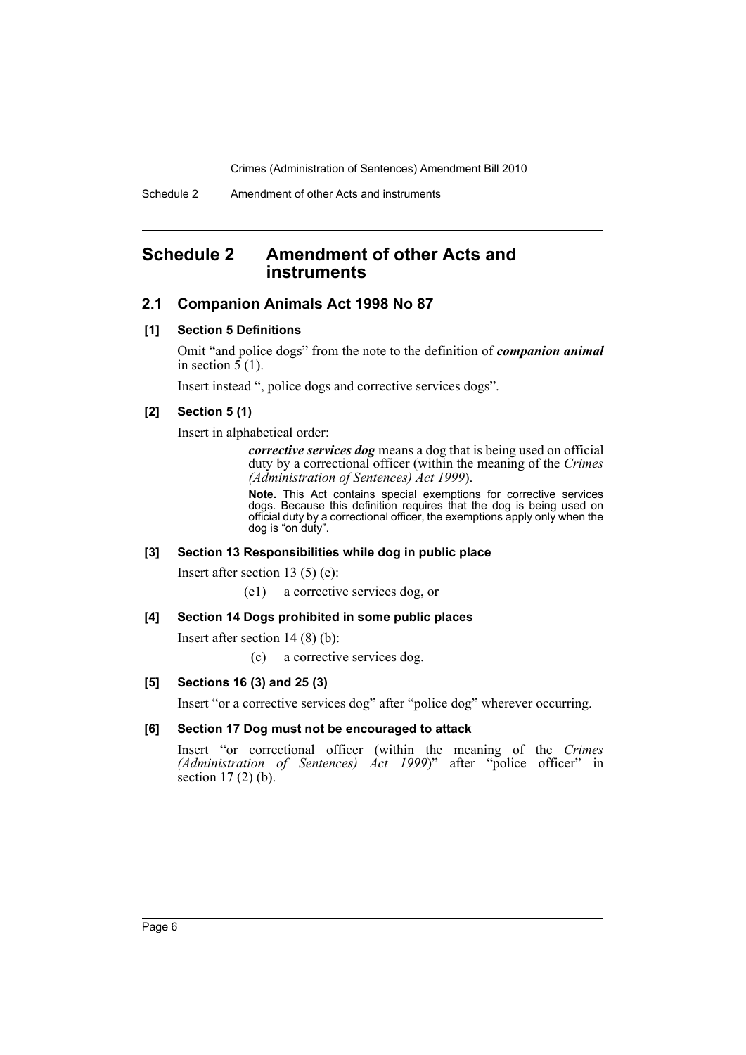## <span id="page-6-0"></span>**Schedule 2 Amendment of other Acts and instruments**

## **2.1 Companion Animals Act 1998 No 87**

### **[1] Section 5 Definitions**

Omit "and police dogs" from the note to the definition of *companion animal* in section  $5(1)$ .

Insert instead ", police dogs and corrective services dogs".

## **[2] Section 5 (1)**

Insert in alphabetical order:

*corrective services dog* means a dog that is being used on official duty by a correctional officer (within the meaning of the *Crimes (Administration of Sentences) Act 1999*).

**Note.** This Act contains special exemptions for corrective services dogs. Because this definition requires that the dog is being used on official duty by a correctional officer, the exemptions apply only when the dog is "on duty".

### **[3] Section 13 Responsibilities while dog in public place**

Insert after section 13 (5) (e):

(e1) a corrective services dog, or

## **[4] Section 14 Dogs prohibited in some public places**

Insert after section 14 (8) (b):

(c) a corrective services dog.

### **[5] Sections 16 (3) and 25 (3)**

Insert "or a corrective services dog" after "police dog" wherever occurring.

## **[6] Section 17 Dog must not be encouraged to attack**

Insert "or correctional officer (within the meaning of the *Crimes (Administration of Sentences) Act 1999*)" after "police officer" in section 17 (2) (b).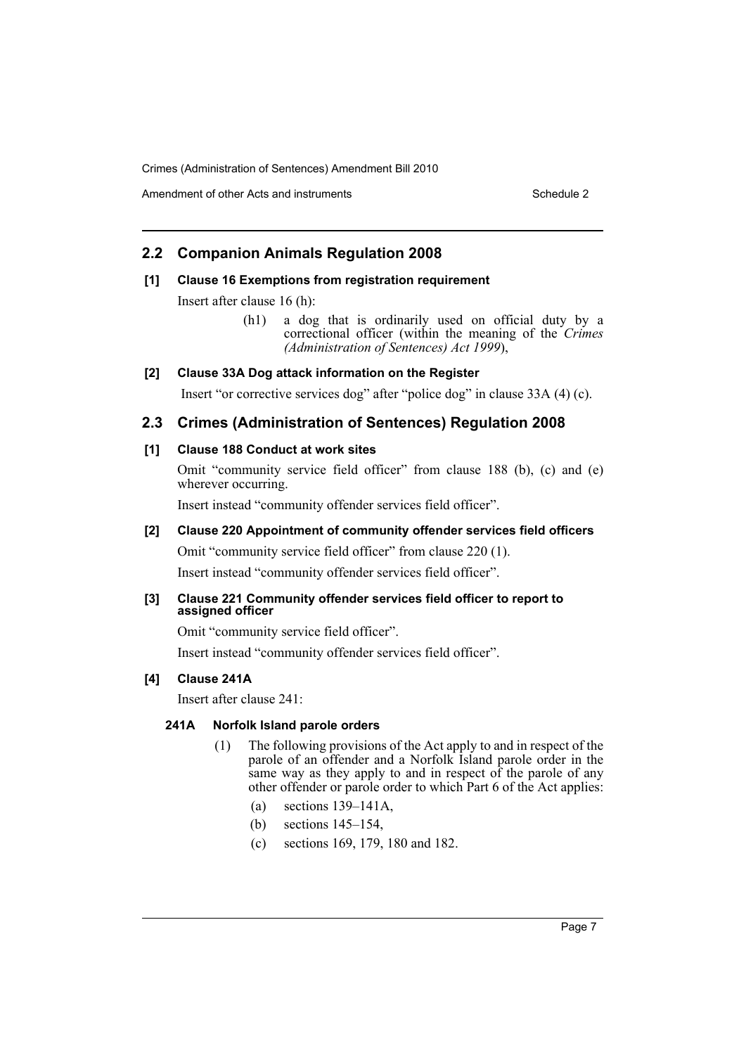Amendment of other Acts and instruments Schedule 2

## **2.2 Companion Animals Regulation 2008**

## **[1] Clause 16 Exemptions from registration requirement**

Insert after clause 16 (h):

(h1) a dog that is ordinarily used on official duty by a correctional officer (within the meaning of the *Crimes (Administration of Sentences) Act 1999*),

## **[2] Clause 33A Dog attack information on the Register**

Insert "or corrective services dog" after "police dog" in clause 33A (4) (c).

## **2.3 Crimes (Administration of Sentences) Regulation 2008**

## **[1] Clause 188 Conduct at work sites**

Omit "community service field officer" from clause 188 (b), (c) and (e) wherever occurring.

Insert instead "community offender services field officer".

## **[2] Clause 220 Appointment of community offender services field officers**

Omit "community service field officer" from clause 220 (1).

Insert instead "community offender services field officer".

## **[3] Clause 221 Community offender services field officer to report to assigned officer**

Omit "community service field officer".

Insert instead "community offender services field officer".

## **[4] Clause 241A**

Insert after clause 241:

## **241A Norfolk Island parole orders**

- (1) The following provisions of the Act apply to and in respect of the parole of an offender and a Norfolk Island parole order in the same way as they apply to and in respect of the parole of any other offender or parole order to which Part 6 of the Act applies:
	- (a) sections 139–141A,
	- (b) sections 145–154,
	- (c) sections 169, 179, 180 and 182.